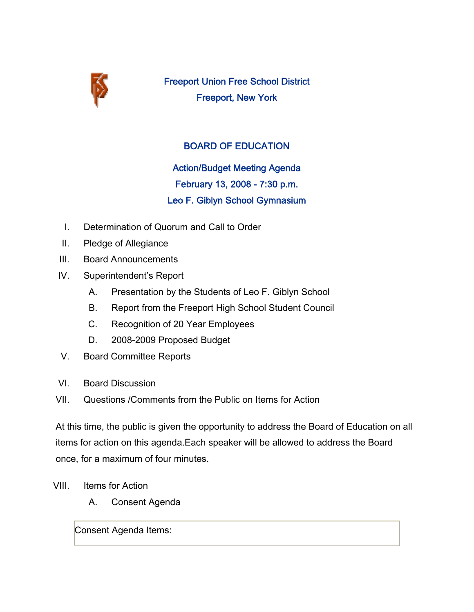

Freeport Union Free School District Freeport, New York

## BOARD OF EDUCATION

Action/Budget Meeting Agenda February 13, 2008 - 7:30 p.m. Leo F. Giblyn School Gymnasium

- I. Determination of Quorum and Call to Order
- II. Pledge of Allegiance
- III. Board Announcements
- IV. Superintendent's Report
	- A. Presentation by the Students of Leo F. Giblyn School
	- B. Report from the Freeport High School Student Council
	- C. Recognition of 20 Year Employees
	- D. 2008-2009 Proposed Budget
- V. Board Committee Reports
- VI. Board Discussion
- VII. Questions /Comments from the Public on Items for Action

At this time, the public is given the opportunity to address the Board of Education on all items for action on this agenda.Each speaker will be allowed to address the Board once, for a maximum of four minutes.

- VIII. Items for Action
	- A. Consent Agenda

Consent Agenda Items: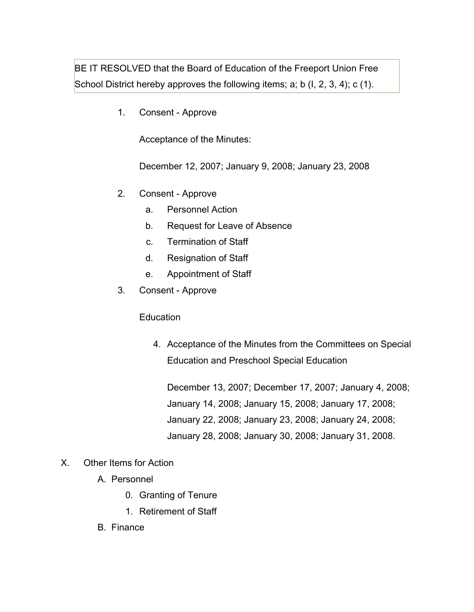BE IT RESOLVED that the Board of Education of the Freeport Union Free School District hereby approves the following items; a; b (I, 2, 3, 4); c (1).

1. Consent - Approve

Acceptance of the Minutes:

December 12, 2007; January 9, 2008; January 23, 2008

- 2. Consent Approve
	- a. Personnel Action
	- b. Request for Leave of Absence
	- c. Termination of Staff
	- d. Resignation of Staff
	- e. Appointment of Staff
- 3. Consent Approve

**Education** 

4. Acceptance of the Minutes from the Committees on Special Education and Preschool Special Education

December 13, 2007; December 17, 2007; January 4, 2008; January 14, 2008; January 15, 2008; January 17, 2008; January 22, 2008; January 23, 2008; January 24, 2008; January 28, 2008; January 30, 2008; January 31, 2008.

- X. Other Items for Action
	- A. Personnel
		- 0. Granting of Tenure
		- 1. Retirement of Staff
	- B. Finance